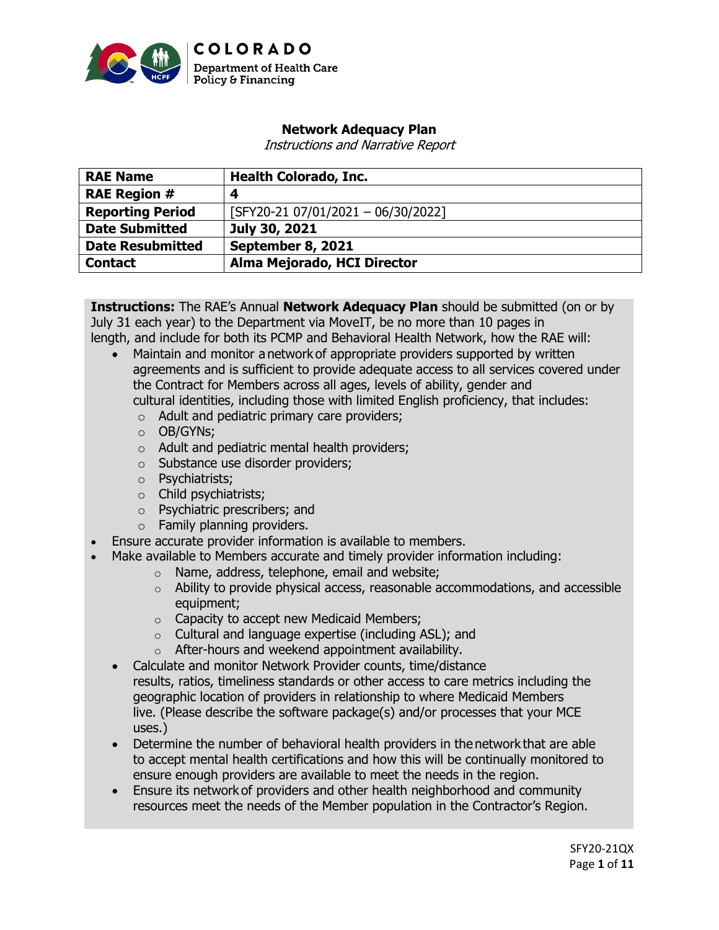

# **Network Adequacy Plan**

Instructions and Narrative Report

| <b>RAE Name</b>         | <b>Health Colorado, Inc.</b>         |  |
|-------------------------|--------------------------------------|--|
| <b>RAE Region #</b>     | 4                                    |  |
| <b>Reporting Period</b> | $[SFY20-21 07/01/2021 - 06/30/2022]$ |  |
| <b>Date Submitted</b>   | July 30, 2021                        |  |
| <b>Date Resubmitted</b> | September 8, 2021                    |  |
| <b>Contact</b>          | Alma Mejorado, HCI Director          |  |

**Instructions:** The RAE's Annual **Network Adequacy Plan** should be submitted (on or by July 31 each year) to the Department via MoveIT, be no more than 10 pages in length, and include for both its PCMP and Behavioral Health Network, how the RAE will:

- Maintain and monitor a network of appropriate providers supported by written agreements and is sufficient to provide adequate access to all services covered under the Contract for Members across all ages, levels of ability, gender and cultural identities, including those with limited English proficiency, that includes:
	- o Adult and pediatric primary care providers;
	- o OB/GYNs;
	- o Adult and pediatric mental health providers;
	- o Substance use disorder providers;
	- o Psychiatrists;
	- o Child psychiatrists;
	- o Psychiatric prescribers; and
	- o Family planning providers.
- Ensure accurate provider information is available to members.
- Make available to Members accurate and timely provider information including:
	- o Name, address, telephone, email and website;
		- o Ability to provide physical access, reasonable accommodations, and accessible equipment;
		- o Capacity to accept new Medicaid Members;
		- o Cultural and language expertise (including ASL); and
		- o After-hours and weekend appointment availability.
	- Calculate and monitor Network Provider counts, time/distance results, ratios, timeliness standards or other access to care metrics including the geographic location of providers in relationship to where Medicaid Members live. (Please describe the software package(s) and/or processes that your MCE uses.)
	- Determine the number of behavioral health providers in the network that are able to accept mental health certifications and how this will be continually monitored to ensure enough providers are available to meet the needs in the region.
	- Ensure its network of providers and other health neighborhood and community resources meet the needs of the Member population in the Contractor's Region.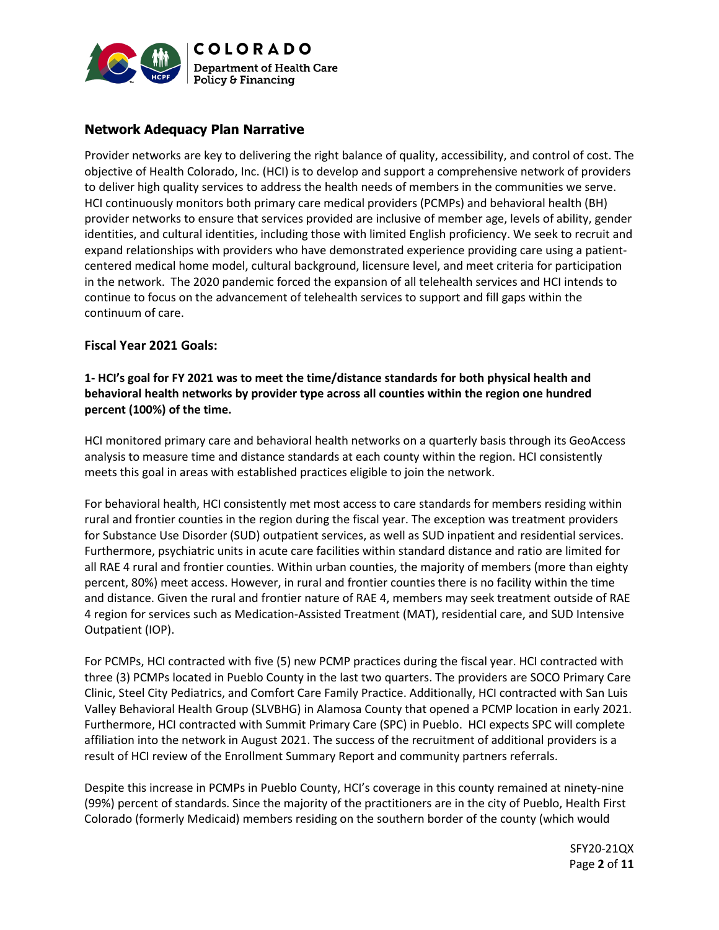

# **Network Adequacy Plan Narrative**

Provider networks are key to delivering the right balance of quality, accessibility, and control of cost. The objective of Health Colorado, Inc. (HCI) is to develop and support a comprehensive network of providers to deliver high quality services to address the health needs of members in the communities we serve. HCI continuously monitors both primary care medical providers (PCMPs) and behavioral health (BH) provider networks to ensure that services provided are inclusive of member age, levels of ability, gender identities, and cultural identities, including those with limited English proficiency. We seek to recruit and expand relationships with providers who have demonstrated experience providing care using a patientcentered medical home model, cultural background, licensure level, and meet criteria for participation in the network. The 2020 pandemic forced the expansion of all telehealth services and HCI intends to continue to focus on the advancement of telehealth services to support and fill gaps within the continuum of care.

### **Fiscal Year 2021 Goals:**

### **1- HCI's goal for FY 2021 was to meet the time/distance standards for both physical health and behavioral health networks by provider type across all counties within the region one hundred percent (100%) of the time.**

HCI monitored primary care and behavioral health networks on a quarterly basis through its GeoAccess analysis to measure time and distance standards at each county within the region. HCI consistently meets this goal in areas with established practices eligible to join the network.

For behavioral health, HCI consistently met most access to care standards for members residing within rural and frontier counties in the region during the fiscal year. The exception was treatment providers for Substance Use Disorder (SUD) outpatient services, as well as SUD inpatient and residential services. Furthermore, psychiatric units in acute care facilities within standard distance and ratio are limited for all RAE 4 rural and frontier counties. Within urban counties, the majority of members (more than eighty percent, 80%) meet access. However, in rural and frontier counties there is no facility within the time and distance. Given the rural and frontier nature of RAE 4, members may seek treatment outside of RAE 4 region for services such as Medication-Assisted Treatment (MAT), residential care, and SUD Intensive Outpatient (IOP).

For PCMPs, HCI contracted with five (5) new PCMP practices during the fiscal year. HCI contracted with three (3) PCMPs located in Pueblo County in the last two quarters. The providers are SOCO Primary Care Clinic, Steel City Pediatrics, and Comfort Care Family Practice. Additionally, HCI contracted with San Luis Valley Behavioral Health Group (SLVBHG) in Alamosa County that opened a PCMP location in early 2021. Furthermore, HCI contracted with Summit Primary Care (SPC) in Pueblo. HCI expects SPC will complete affiliation into the network in August 2021. The success of the recruitment of additional providers is a result of HCI review of the Enrollment Summary Report and community partners referrals.

Despite this increase in PCMPs in Pueblo County, HCI's coverage in this county remained at ninety-nine (99%) percent of standards. Since the majority of the practitioners are in the city of Pueblo, Health First Colorado (formerly Medicaid) members residing on the southern border of the county (which would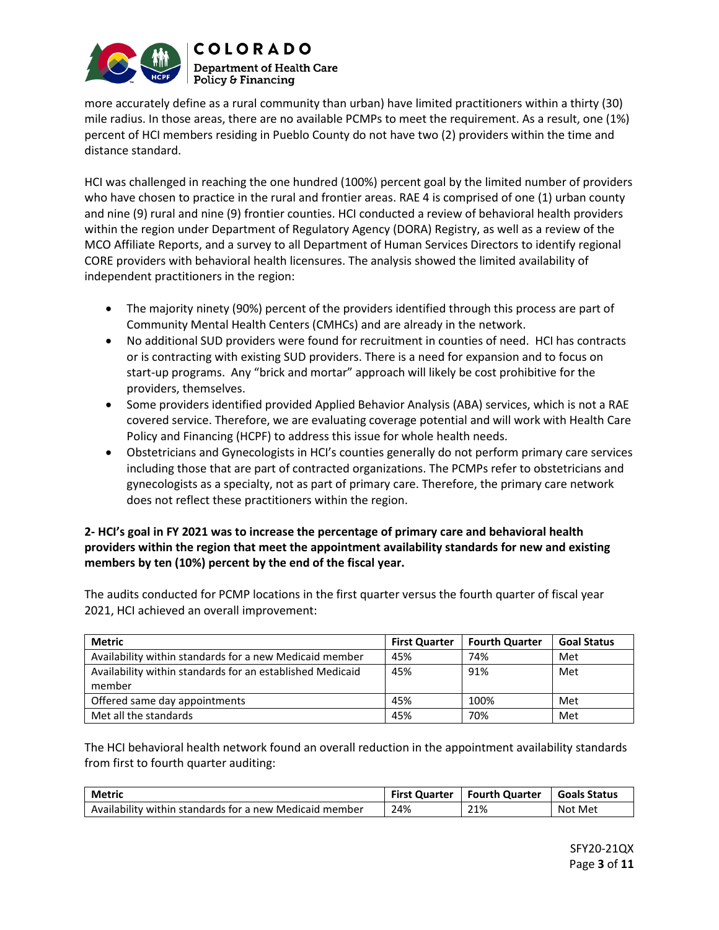

more accurately define as a rural community than urban) have limited practitioners within a thirty (30) mile radius. In those areas, there are no available PCMPs to meet the requirement. As a result, one (1%) percent of HCI members residing in Pueblo County do not have two (2) providers within the time and distance standard.

HCI was challenged in reaching the one hundred (100%) percent goal by the limited number of providers who have chosen to practice in the rural and frontier areas. RAE 4 is comprised of one (1) urban county and nine (9) rural and nine (9) frontier counties. HCI conducted a review of behavioral health providers within the region under Department of Regulatory Agency (DORA) Registry, as well as a review of the MCO Affiliate Reports, and a survey to all Department of Human Services Directors to identify regional CORE providers with behavioral health licensures. The analysis showed the limited availability of independent practitioners in the region:

- The majority ninety (90%) percent of the providers identified through this process are part of Community Mental Health Centers (CMHCs) and are already in the network.
- No additional SUD providers were found for recruitment in counties of need. HCI has contracts or is contracting with existing SUD providers. There is a need for expansion and to focus on start-up programs. Any "brick and mortar" approach will likely be cost prohibitive for the providers, themselves.
- Some providers identified provided Applied Behavior Analysis (ABA) services, which is not a RAE covered service. Therefore, we are evaluating coverage potential and will work with Health Care Policy and Financing (HCPF) to address this issue for whole health needs.
- Obstetricians and Gynecologists in HCI's counties generally do not perform primary care services including those that are part of contracted organizations. The PCMPs refer to obstetricians and gynecologists as a specialty, not as part of primary care. Therefore, the primary care network does not reflect these practitioners within the region.

# **2- HCI's goal in FY 2021 was to increase the percentage of primary care and behavioral health providers within the region that meet the appointment availability standards for new and existing members by ten (10%) percent by the end of the fiscal year.**

The audits conducted for PCMP locations in the first quarter versus the fourth quarter of fiscal year 2021, HCI achieved an overall improvement:

| Metric                                                              | <b>First Quarter</b> | <b>Fourth Quarter</b> | <b>Goal Status</b> |
|---------------------------------------------------------------------|----------------------|-----------------------|--------------------|
| Availability within standards for a new Medicaid member             | 45%                  | 74%                   | Met                |
| Availability within standards for an established Medicaid<br>member | 45%                  | 91%                   | Met                |
| Offered same day appointments                                       | 45%                  | 100%                  | Met                |
| Met all the standards                                               | 45%                  | 70%                   | Met                |

The HCI behavioral health network found an overall reduction in the appointment availability standards from first to fourth quarter auditing:

| Metric                                                  |     | First Quarter   Fourth Quarter | l Goals Status |
|---------------------------------------------------------|-----|--------------------------------|----------------|
| Availability within standards for a new Medicaid member | 24% | 21%                            | Not Met        |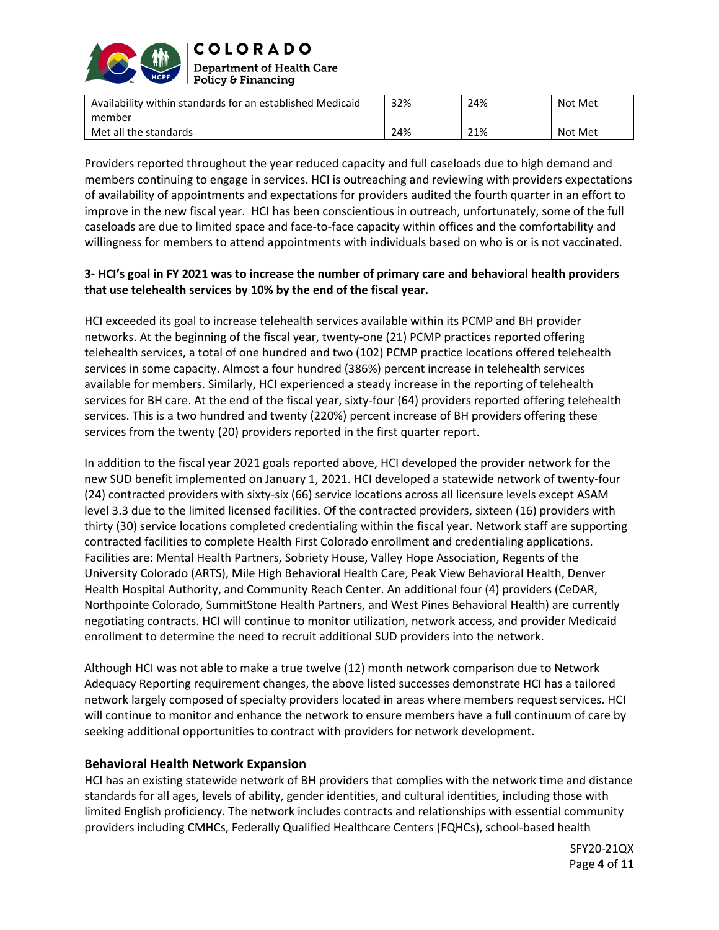

| Availability within standards for an established Medicaid<br>member | 32% | 24% | Not Met |
|---------------------------------------------------------------------|-----|-----|---------|
| Met all the standards                                               | 24% | 21% | Not Met |

Providers reported throughout the year reduced capacity and full caseloads due to high demand and members continuing to engage in services. HCI is outreaching and reviewing with providers expectations of availability of appointments and expectations for providers audited the fourth quarter in an effort to improve in the new fiscal year. HCI has been conscientious in outreach, unfortunately, some of the full caseloads are due to limited space and face-to-face capacity within offices and the comfortability and willingness for members to attend appointments with individuals based on who is or is not vaccinated.

# **3- HCI's goal in FY 2021 was to increase the number of primary care and behavioral health providers that use telehealth services by 10% by the end of the fiscal year.**

HCI exceeded its goal to increase telehealth services available within its PCMP and BH provider networks. At the beginning of the fiscal year, twenty-one (21) PCMP practices reported offering telehealth services, a total of one hundred and two (102) PCMP practice locations offered telehealth services in some capacity. Almost a four hundred (386%) percent increase in telehealth services available for members. Similarly, HCI experienced a steady increase in the reporting of telehealth services for BH care. At the end of the fiscal year, sixty-four (64) providers reported offering telehealth services. This is a two hundred and twenty (220%) percent increase of BH providers offering these services from the twenty (20) providers reported in the first quarter report.

In addition to the fiscal year 2021 goals reported above, HCI developed the provider network for the new SUD benefit implemented on January 1, 2021. HCI developed a statewide network of twenty-four (24) contracted providers with sixty-six (66) service locations across all licensure levels except ASAM level 3.3 due to the limited licensed facilities. Of the contracted providers, sixteen (16) providers with thirty (30) service locations completed credentialing within the fiscal year. Network staff are supporting contracted facilities to complete Health First Colorado enrollment and credentialing applications. Facilities are: Mental Health Partners, Sobriety House, Valley Hope Association, Regents of the University Colorado (ARTS), Mile High Behavioral Health Care, Peak View Behavioral Health, Denver Health Hospital Authority, and Community Reach Center. An additional four (4) providers (CeDAR, Northpointe Colorado, SummitStone Health Partners, and West Pines Behavioral Health) are currently negotiating contracts. HCI will continue to monitor utilization, network access, and provider Medicaid enrollment to determine the need to recruit additional SUD providers into the network.

Although HCI was not able to make a true twelve (12) month network comparison due to Network Adequacy Reporting requirement changes, the above listed successes demonstrate HCI has a tailored network largely composed of specialty providers located in areas where members request services. HCI will continue to monitor and enhance the network to ensure members have a full continuum of care by seeking additional opportunities to contract with providers for network development.

# **Behavioral Health Network Expansion**

HCI has an existing statewide network of BH providers that complies with the network time and distance standards for all ages, levels of ability, gender identities, and cultural identities, including those with limited English proficiency. The network includes contracts and relationships with essential community providers including CMHCs, Federally Qualified Healthcare Centers (FQHCs), school-based health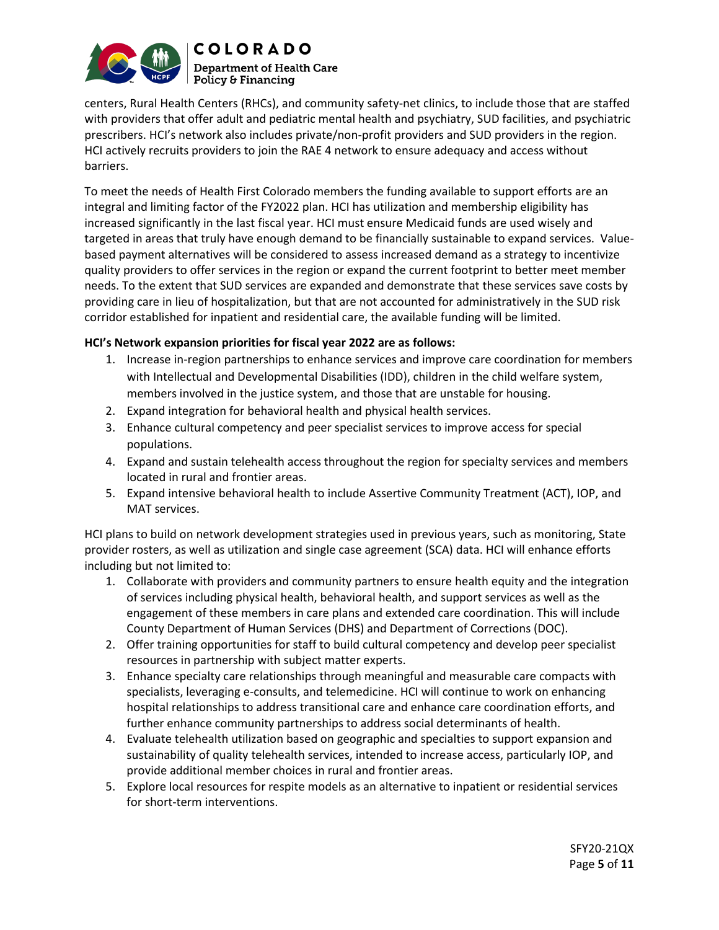

centers, Rural Health Centers (RHCs), and community safety-net clinics, to include those that are staffed with providers that offer adult and pediatric mental health and psychiatry, SUD facilities, and psychiatric prescribers. HCI's network also includes private/non-profit providers and SUD providers in the region. HCI actively recruits providers to join the RAE 4 network to ensure adequacy and access without barriers.

To meet the needs of Health First Colorado members the funding available to support efforts are an integral and limiting factor of the FY2022 plan. HCI has utilization and membership eligibility has increased significantly in the last fiscal year. HCI must ensure Medicaid funds are used wisely and targeted in areas that truly have enough demand to be financially sustainable to expand services. Valuebased payment alternatives will be considered to assess increased demand as a strategy to incentivize quality providers to offer services in the region or expand the current footprint to better meet member needs. To the extent that SUD services are expanded and demonstrate that these services save costs by providing care in lieu of hospitalization, but that are not accounted for administratively in the SUD risk corridor established for inpatient and residential care, the available funding will be limited.

### **HCI's Network expansion priorities for fiscal year 2022 are as follows:**

- 1. Increase in-region partnerships to enhance services and improve care coordination for members with Intellectual and Developmental Disabilities (IDD), children in the child welfare system, members involved in the justice system, and those that are unstable for housing.
- 2. Expand integration for behavioral health and physical health services.
- 3. Enhance cultural competency and peer specialist services to improve access for special populations.
- 4. Expand and sustain telehealth access throughout the region for specialty services and members located in rural and frontier areas.
- 5. Expand intensive behavioral health to include Assertive Community Treatment (ACT), IOP, and MAT services.

HCI plans to build on network development strategies used in previous years, such as monitoring, State provider rosters, as well as utilization and single case agreement (SCA) data. HCI will enhance efforts including but not limited to:

- 1. Collaborate with providers and community partners to ensure health equity and the integration of services including physical health, behavioral health, and support services as well as the engagement of these members in care plans and extended care coordination. This will include County Department of Human Services (DHS) and Department of Corrections (DOC).
- 2. Offer training opportunities for staff to build cultural competency and develop peer specialist resources in partnership with subject matter experts.
- 3. Enhance specialty care relationships through meaningful and measurable care compacts with specialists, leveraging e-consults, and telemedicine. HCI will continue to work on enhancing hospital relationships to address transitional care and enhance care coordination efforts, and further enhance community partnerships to address social determinants of health.
- 4. Evaluate telehealth utilization based on geographic and specialties to support expansion and sustainability of quality telehealth services, intended to increase access, particularly IOP, and provide additional member choices in rural and frontier areas.
- 5. Explore local resources for respite models as an alternative to inpatient or residential services for short-term interventions.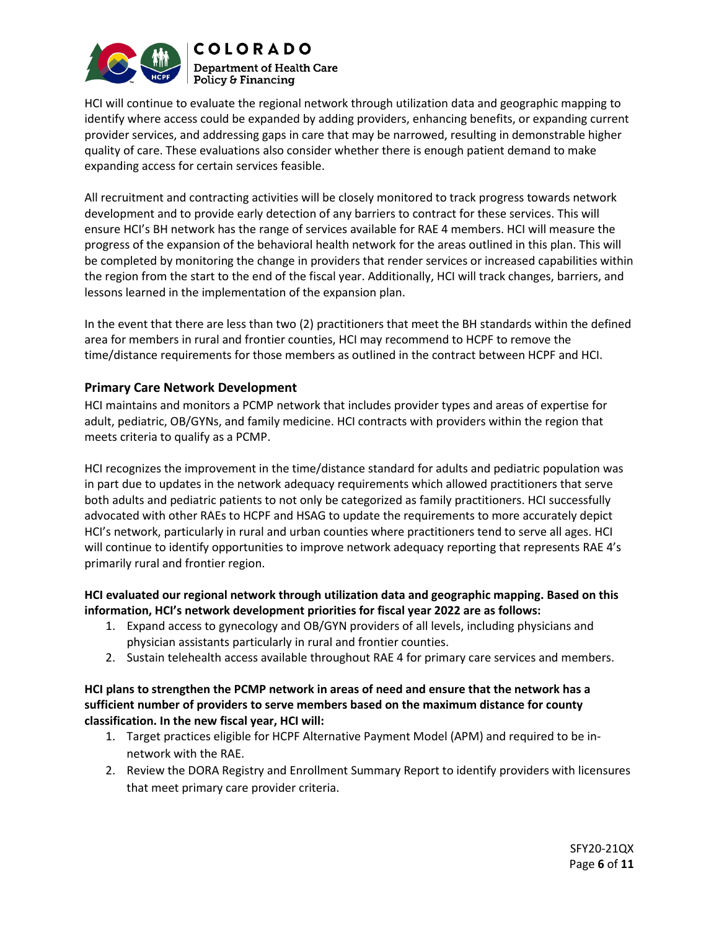

HCI will continue to evaluate the regional network through utilization data and geographic mapping to identify where access could be expanded by adding providers, enhancing benefits, or expanding current provider services, and addressing gaps in care that may be narrowed, resulting in demonstrable higher quality of care. These evaluations also consider whether there is enough patient demand to make expanding access for certain services feasible.

All recruitment and contracting activities will be closely monitored to track progress towards network development and to provide early detection of any barriers to contract for these services. This will ensure HCI's BH network has the range of services available for RAE 4 members. HCI will measure the progress of the expansion of the behavioral health network for the areas outlined in this plan. This will be completed by monitoring the change in providers that render services or increased capabilities within the region from the start to the end of the fiscal year. Additionally, HCI will track changes, barriers, and lessons learned in the implementation of the expansion plan.

In the event that there are less than two (2) practitioners that meet the BH standards within the defined area for members in rural and frontier counties, HCI may recommend to HCPF to remove the time/distance requirements for those members as outlined in the contract between HCPF and HCI.

# **Primary Care Network Development**

HCI maintains and monitors a PCMP network that includes provider types and areas of expertise for adult, pediatric, OB/GYNs, and family medicine. HCI contracts with providers within the region that meets criteria to qualify as a PCMP.

HCI recognizes the improvement in the time/distance standard for adults and pediatric population was in part due to updates in the network adequacy requirements which allowed practitioners that serve both adults and pediatric patients to not only be categorized as family practitioners. HCI successfully advocated with other RAEs to HCPF and HSAG to update the requirements to more accurately depict HCI's network, particularly in rural and urban counties where practitioners tend to serve all ages. HCI will continue to identify opportunities to improve network adequacy reporting that represents RAE 4's primarily rural and frontier region.

### **HCI evaluated our regional network through utilization data and geographic mapping. Based on this information, HCI's network development priorities for fiscal year 2022 are as follows:**

- 1. Expand access to gynecology and OB/GYN providers of all levels, including physicians and physician assistants particularly in rural and frontier counties.
- 2. Sustain telehealth access available throughout RAE 4 for primary care services and members.

### **HCI plans to strengthen the PCMP network in areas of need and ensure that the network has a sufficient number of providers to serve members based on the maximum distance for county classification. In the new fiscal year, HCI will:**

- 1. Target practices eligible for HCPF Alternative Payment Model (APM) and required to be innetwork with the RAE.
- 2. Review the DORA Registry and Enrollment Summary Report to identify providers with licensures that meet primary care provider criteria.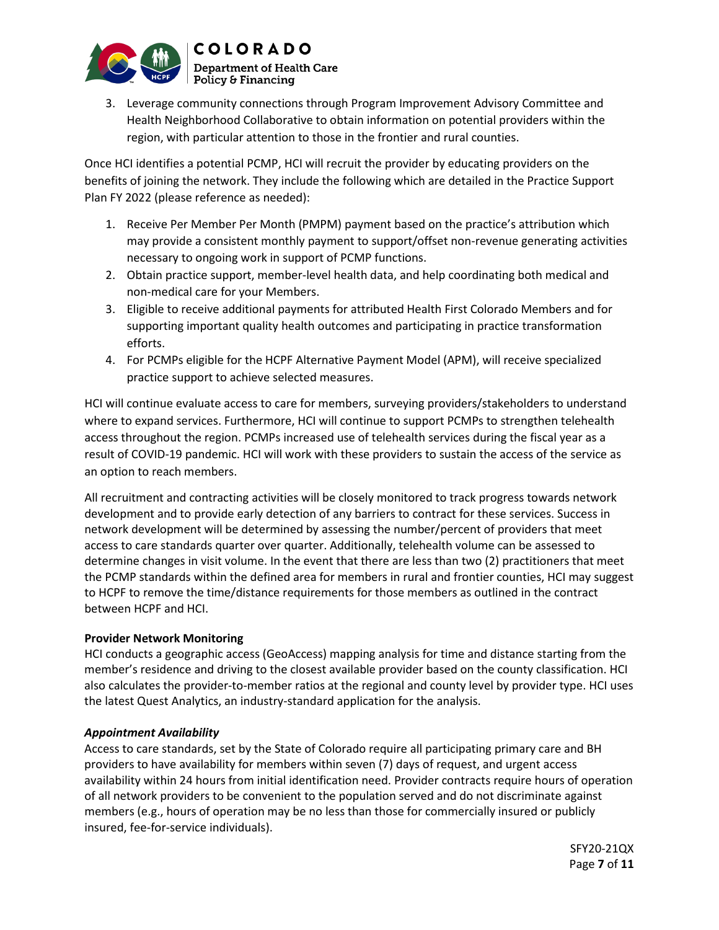

3. Leverage community connections through Program Improvement Advisory Committee and Health Neighborhood Collaborative to obtain information on potential providers within the region, with particular attention to those in the frontier and rural counties.

Once HCI identifies a potential PCMP, HCI will recruit the provider by educating providers on the benefits of joining the network. They include the following which are detailed in the Practice Support Plan FY 2022 (please reference as needed):

- 1. Receive Per Member Per Month (PMPM) payment based on the practice's attribution which may provide a consistent monthly payment to support/offset non-revenue generating activities necessary to ongoing work in support of PCMP functions.
- 2. Obtain practice support, member-level health data, and help coordinating both medical and non-medical care for your Members.
- 3. Eligible to receive additional payments for attributed Health First Colorado Members and for supporting important quality health outcomes and participating in practice transformation efforts.
- 4. For PCMPs eligible for the HCPF Alternative Payment Model (APM), will receive specialized practice support to achieve selected measures.

HCI will continue evaluate access to care for members, surveying providers/stakeholders to understand where to expand services. Furthermore, HCI will continue to support PCMPs to strengthen telehealth access throughout the region. PCMPs increased use of telehealth services during the fiscal year as a result of COVID-19 pandemic. HCI will work with these providers to sustain the access of the service as an option to reach members.

All recruitment and contracting activities will be closely monitored to track progress towards network development and to provide early detection of any barriers to contract for these services. Success in network development will be determined by assessing the number/percent of providers that meet access to care standards quarter over quarter. Additionally, telehealth volume can be assessed to determine changes in visit volume. In the event that there are less than two (2) practitioners that meet the PCMP standards within the defined area for members in rural and frontier counties, HCI may suggest to HCPF to remove the time/distance requirements for those members as outlined in the contract between HCPF and HCI.

# **Provider Network Monitoring**

HCI conducts a geographic access (GeoAccess) mapping analysis for time and distance starting from the member's residence and driving to the closest available provider based on the county classification. HCI also calculates the provider-to-member ratios at the regional and county level by provider type. HCI uses the latest Quest Analytics, an industry-standard application for the analysis.

### *Appointment Availability*

Access to care standards, set by the State of Colorado require all participating primary care and BH providers to have availability for members within seven (7) days of request, and urgent access availability within 24 hours from initial identification need. Provider contracts require hours of operation of all network providers to be convenient to the population served and do not discriminate against members (e.g., hours of operation may be no less than those for commercially insured or publicly insured, fee-for-service individuals).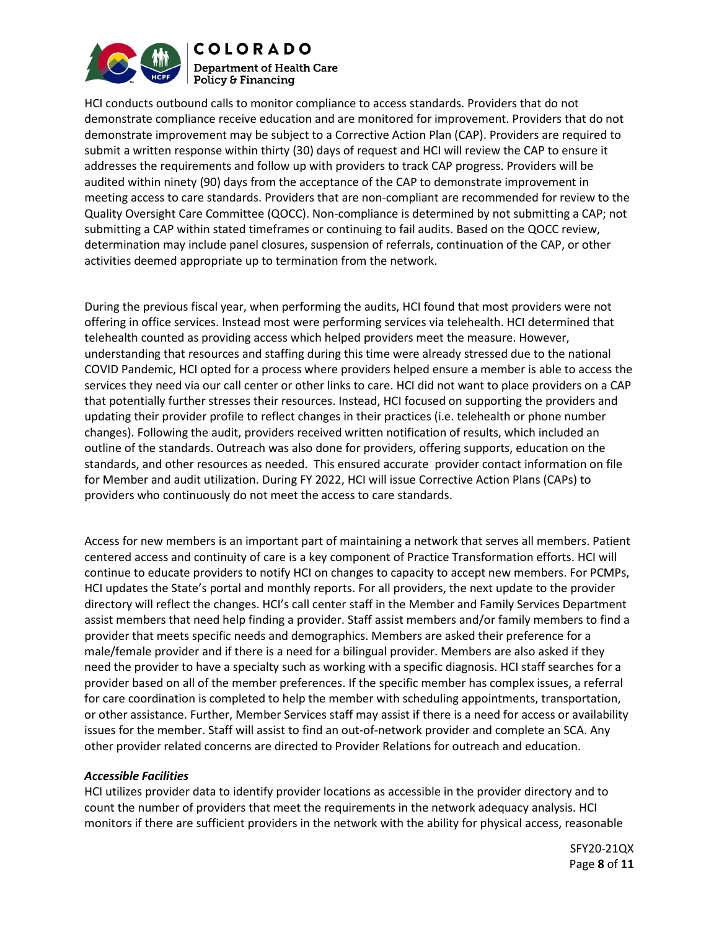

HCI conducts outbound calls to monitor compliance to access standards. Providers that do not demonstrate compliance receive education and are monitored for improvement. Providers that do not demonstrate improvement may be subject to a Corrective Action Plan (CAP). Providers are required to submit a written response within thirty (30) days of request and HCI will review the CAP to ensure it addresses the requirements and follow up with providers to track CAP progress. Providers will be audited within ninety (90) days from the acceptance of the CAP to demonstrate improvement in meeting access to care standards. Providers that are non-compliant are recommended for review to the Quality Oversight Care Committee (QOCC). Non-compliance is determined by not submitting a CAP; not submitting a CAP within stated timeframes or continuing to fail audits. Based on the QOCC review, determination may include panel closures, suspension of referrals, continuation of the CAP, or other activities deemed appropriate up to termination from the network.

During the previous fiscal year, when performing the audits, HCI found that most providers were not offering in office services. Instead most were performing services via telehealth. HCI determined that telehealth counted as providing access which helped providers meet the measure. However, understanding that resources and staffing during this time were already stressed due to the national COVID Pandemic, HCI opted for a process where providers helped ensure a member is able to access the services they need via our call center or other links to care. HCI did not want to place providers on a CAP that potentially further stresses their resources. Instead, HCI focused on supporting the providers and updating their provider profile to reflect changes in their practices (i.e. telehealth or phone number changes). Following the audit, providers received written notification of results, which included an outline of the standards. Outreach was also done for providers, offering supports, education on the standards, and other resources as needed. This ensured accurate provider contact information on file for Member and audit utilization. During FY 2022, HCI will issue Corrective Action Plans (CAPs) to providers who continuously do not meet the access to care standards.

Access for new members is an important part of maintaining a network that serves all members. Patient centered access and continuity of care is a key component of Practice Transformation efforts. HCI will continue to educate providers to notify HCI on changes to capacity to accept new members. For PCMPs, HCI updates the State's portal and monthly reports. For all providers, the next update to the provider directory will reflect the changes. HCI's call center staff in the Member and Family Services Department assist members that need help finding a provider. Staff assist members and/or family members to find a provider that meets specific needs and demographics. Members are asked their preference for a male/female provider and if there is a need for a bilingual provider. Members are also asked if they need the provider to have a specialty such as working with a specific diagnosis. HCI staff searches for a provider based on all of the member preferences. If the specific member has complex issues, a referral for care coordination is completed to help the member with scheduling appointments, transportation, or other assistance. Further, Member Services staff may assist if there is a need for access or availability issues for the member. Staff will assist to find an out-of-network provider and complete an SCA. Any other provider related concerns are directed to Provider Relations for outreach and education.

#### *Accessible Facilities*

HCI utilizes provider data to identify provider locations as accessible in the provider directory and to count the number of providers that meet the requirements in the network adequacy analysis. HCI monitors if there are sufficient providers in the network with the ability for physical access, reasonable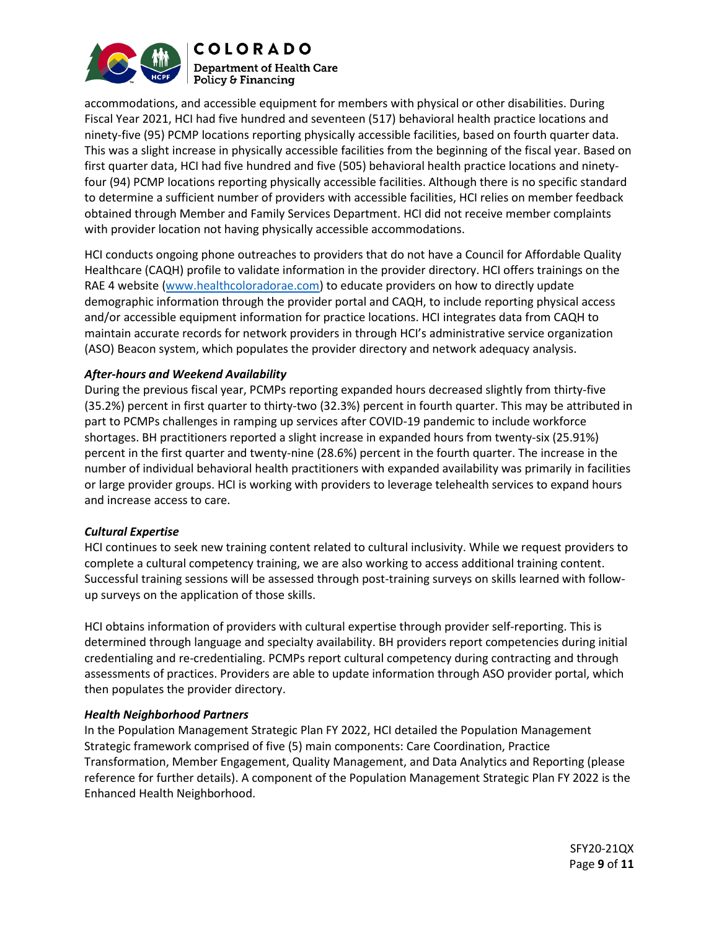

accommodations, and accessible equipment for members with physical or other disabilities. During Fiscal Year 2021, HCI had five hundred and seventeen (517) behavioral health practice locations and ninety-five (95) PCMP locations reporting physically accessible facilities, based on fourth quarter data. This was a slight increase in physically accessible facilities from the beginning of the fiscal year. Based on first quarter data, HCI had five hundred and five (505) behavioral health practice locations and ninetyfour (94) PCMP locations reporting physically accessible facilities. Although there is no specific standard to determine a sufficient number of providers with accessible facilities, HCI relies on member feedback obtained through Member and Family Services Department. HCI did not receive member complaints with provider location not having physically accessible accommodations.

HCI conducts ongoing phone outreaches to providers that do not have a Council for Affordable Quality Healthcare (CAQH) profile to validate information in the provider directory. HCI offers trainings on the RAE 4 website [\(www.healthcoloradorae.com\)](http://www.healthcoloradorae.com/) to educate providers on how to directly update demographic information through the provider portal and CAQH, to include reporting physical access and/or accessible equipment information for practice locations. HCI integrates data from CAQH to maintain accurate records for network providers in through HCI's administrative service organization (ASO) Beacon system, which populates the provider directory and network adequacy analysis.

### *After-hours and Weekend Availability*

During the previous fiscal year, PCMPs reporting expanded hours decreased slightly from thirty-five (35.2%) percent in first quarter to thirty-two (32.3%) percent in fourth quarter. This may be attributed in part to PCMPs challenges in ramping up services after COVID-19 pandemic to include workforce shortages. BH practitioners reported a slight increase in expanded hours from twenty-six (25.91%) percent in the first quarter and twenty-nine (28.6%) percent in the fourth quarter. The increase in the number of individual behavioral health practitioners with expanded availability was primarily in facilities or large provider groups. HCI is working with providers to leverage telehealth services to expand hours and increase access to care.

### *Cultural Expertise*

HCI continues to seek new training content related to cultural inclusivity. While we request providers to complete a cultural competency training, we are also working to access additional training content. Successful training sessions will be assessed through post-training surveys on skills learned with followup surveys on the application of those skills.

HCI obtains information of providers with cultural expertise through provider self-reporting. This is determined through language and specialty availability. BH providers report competencies during initial credentialing and re-credentialing. PCMPs report cultural competency during contracting and through assessments of practices. Providers are able to update information through ASO provider portal, which then populates the provider directory.

### *Health Neighborhood Partners*

In the Population Management Strategic Plan FY 2022, HCI detailed the Population Management Strategic framework comprised of five (5) main components: Care Coordination, Practice Transformation, Member Engagement, Quality Management, and Data Analytics and Reporting (please reference for further details). A component of the Population Management Strategic Plan FY 2022 is the Enhanced Health Neighborhood.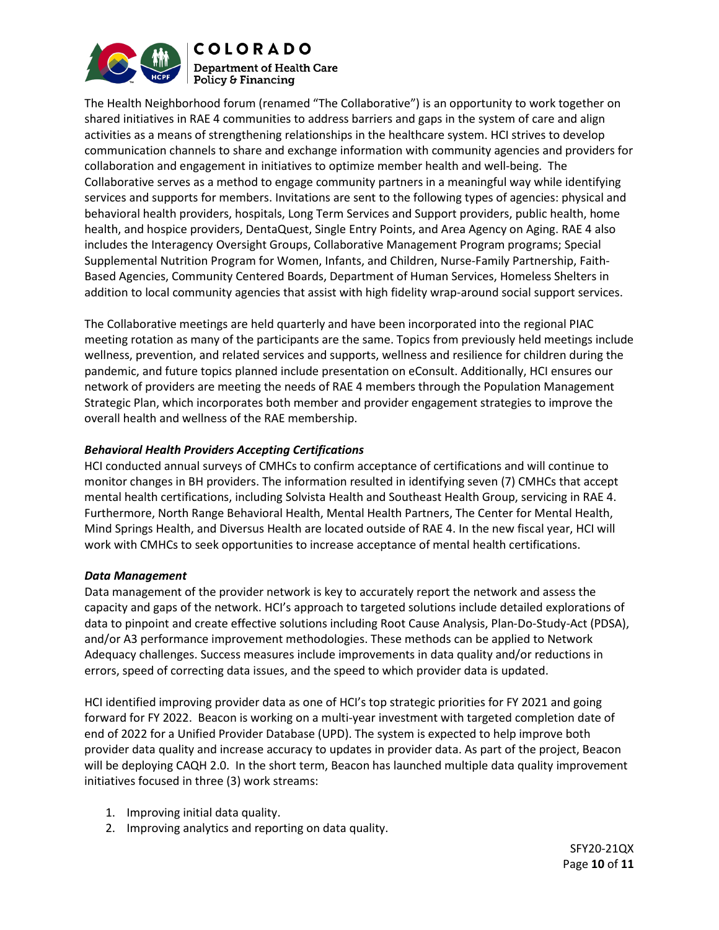

The Health Neighborhood forum (renamed "The Collaborative") is an opportunity to work together on shared initiatives in RAE 4 communities to address barriers and gaps in the system of care and align activities as a means of strengthening relationships in the healthcare system. HCI strives to develop communication channels to share and exchange information with community agencies and providers for collaboration and engagement in initiatives to optimize member health and well-being. The Collaborative serves as a method to engage community partners in a meaningful way while identifying services and supports for members. Invitations are sent to the following types of agencies: physical and behavioral health providers, hospitals, Long Term Services and Support providers, public health, home health, and hospice providers, DentaQuest, Single Entry Points, and Area Agency on Aging. RAE 4 also includes the Interagency Oversight Groups, Collaborative Management Program programs; Special Supplemental Nutrition Program for Women, Infants, and Children, Nurse-Family Partnership, Faith-Based Agencies, Community Centered Boards, Department of Human Services, Homeless Shelters in addition to local community agencies that assist with high fidelity wrap-around social support services.

The Collaborative meetings are held quarterly and have been incorporated into the regional PIAC meeting rotation as many of the participants are the same. Topics from previously held meetings include wellness, prevention, and related services and supports, wellness and resilience for children during the pandemic, and future topics planned include presentation on eConsult. Additionally, HCI ensures our network of providers are meeting the needs of RAE 4 members through the Population Management Strategic Plan, which incorporates both member and provider engagement strategies to improve the overall health and wellness of the RAE membership.

# *Behavioral Health Providers Accepting Certifications*

HCI conducted annual surveys of CMHCs to confirm acceptance of certifications and will continue to monitor changes in BH providers. The information resulted in identifying seven (7) CMHCs that accept mental health certifications, including Solvista Health and Southeast Health Group, servicing in RAE 4. Furthermore, North Range Behavioral Health, Mental Health Partners, The Center for Mental Health, Mind Springs Health, and Diversus Health are located outside of RAE 4. In the new fiscal year, HCI will work with CMHCs to seek opportunities to increase acceptance of mental health certifications.

### *Data Management*

Data management of the provider network is key to accurately report the network and assess the capacity and gaps of the network. HCI's approach to targeted solutions include detailed explorations of data to pinpoint and create effective solutions including Root Cause Analysis, Plan-Do-Study-Act (PDSA), and/or A3 performance improvement methodologies. These methods can be applied to Network Adequacy challenges. Success measures include improvements in data quality and/or reductions in errors, speed of correcting data issues, and the speed to which provider data is updated.

HCI identified improving provider data as one of HCI's top strategic priorities for FY 2021 and going forward for FY 2022. Beacon is working on a multi-year investment with targeted completion date of end of 2022 for a Unified Provider Database (UPD). The system is expected to help improve both provider data quality and increase accuracy to updates in provider data. As part of the project, Beacon will be deploying CAQH 2.0. In the short term, Beacon has launched multiple data quality improvement initiatives focused in three (3) work streams:

- 1. Improving initial data quality.
- 2. Improving analytics and reporting on data quality.